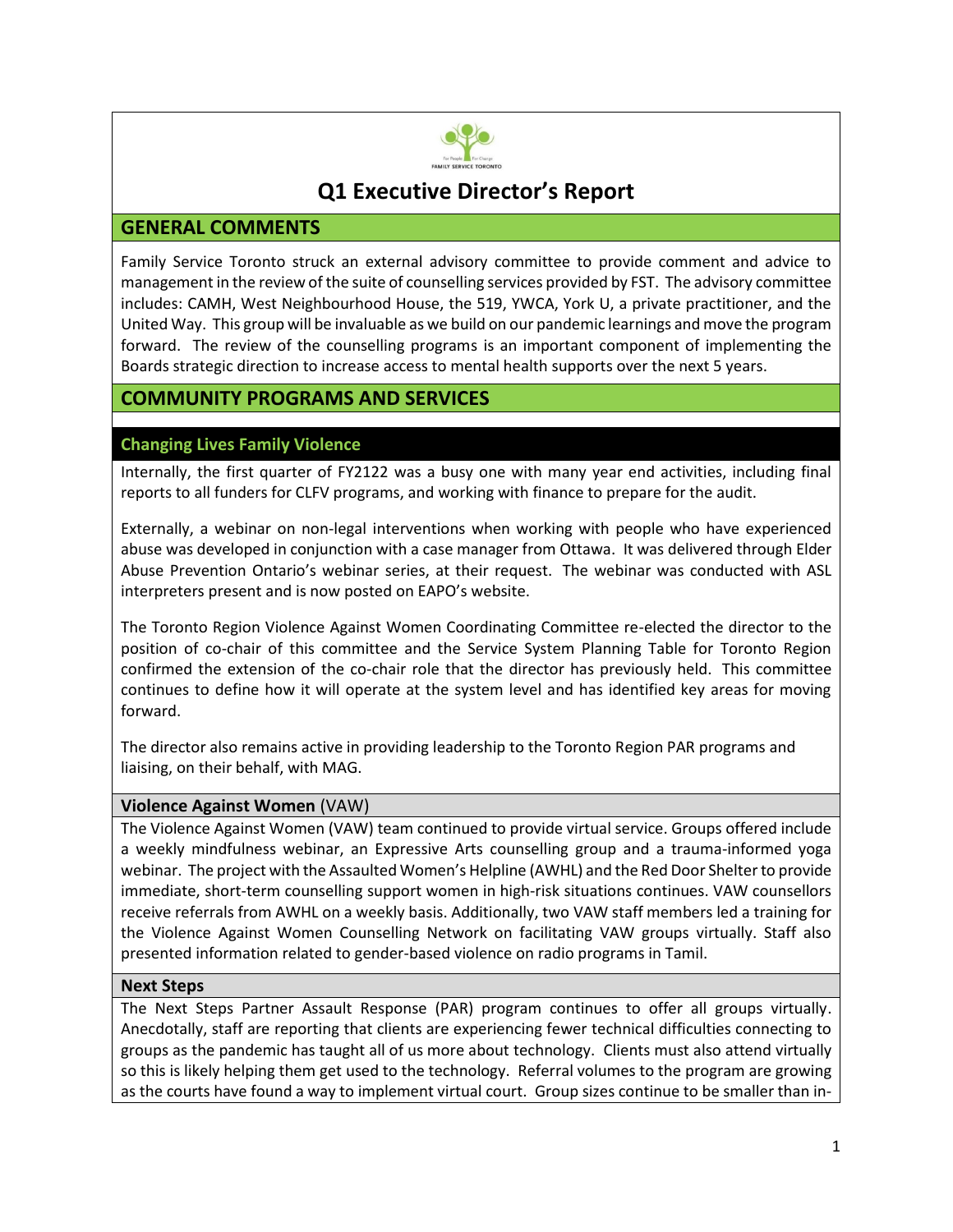

# **Q1 Executive Director's Report**

# **GENERAL COMMENTS**

Family Service Toronto struck an external advisory committee to provide comment and advice to management in the review of the suite of counselling services provided by FST. The advisory committee includes: CAMH, West Neighbourhood House, the 519, YWCA, York U, a private practitioner, and the United Way. This group will be invaluable as we build on our pandemic learnings and move the program forward. The review of the counselling programs is an important component of implementing the Boards strategic direction to increase access to mental health supports over the next 5 years.

# **COMMUNITY PROGRAMS AND SERVICES**

# **Changing Lives Family Violence**

Internally, the first quarter of FY2122 was a busy one with many year end activities, including final reports to all funders for CLFV programs, and working with finance to prepare for the audit.

Externally, a webinar on non-legal interventions when working with people who have experienced abuse was developed in conjunction with a case manager from Ottawa. It was delivered through Elder Abuse Prevention Ontario's webinar series, at their request. The webinar was conducted with ASL interpreters present and is now posted on EAPO's website.

The Toronto Region Violence Against Women Coordinating Committee re-elected the director to the position of co-chair of this committee and the Service System Planning Table for Toronto Region confirmed the extension of the co-chair role that the director has previously held. This committee continues to define how it will operate at the system level and has identified key areas for moving forward.

The director also remains active in providing leadership to the Toronto Region PAR programs and liaising, on their behalf, with MAG.

#### **Violence Against Women** (VAW)

The Violence Against Women (VAW) team continued to provide virtual service. Groups offered include a weekly mindfulness webinar, an Expressive Arts counselling group and a trauma-informed yoga webinar. The project with the Assaulted Women's Helpline (AWHL) and the Red Door Shelter to provide immediate, short-term counselling support women in high-risk situations continues. VAW counsellors receive referrals from AWHL on a weekly basis. Additionally, two VAW staff members led a training for the Violence Against Women Counselling Network on facilitating VAW groups virtually. Staff also presented information related to gender-based violence on radio programs in Tamil.

#### **Next Steps**

The Next Steps Partner Assault Response (PAR) program continues to offer all groups virtually. Anecdotally, staff are reporting that clients are experiencing fewer technical difficulties connecting to groups as the pandemic has taught all of us more about technology. Clients must also attend virtually so this is likely helping them get used to the technology. Referral volumes to the program are growing as the courts have found a way to implement virtual court. Group sizes continue to be smaller than in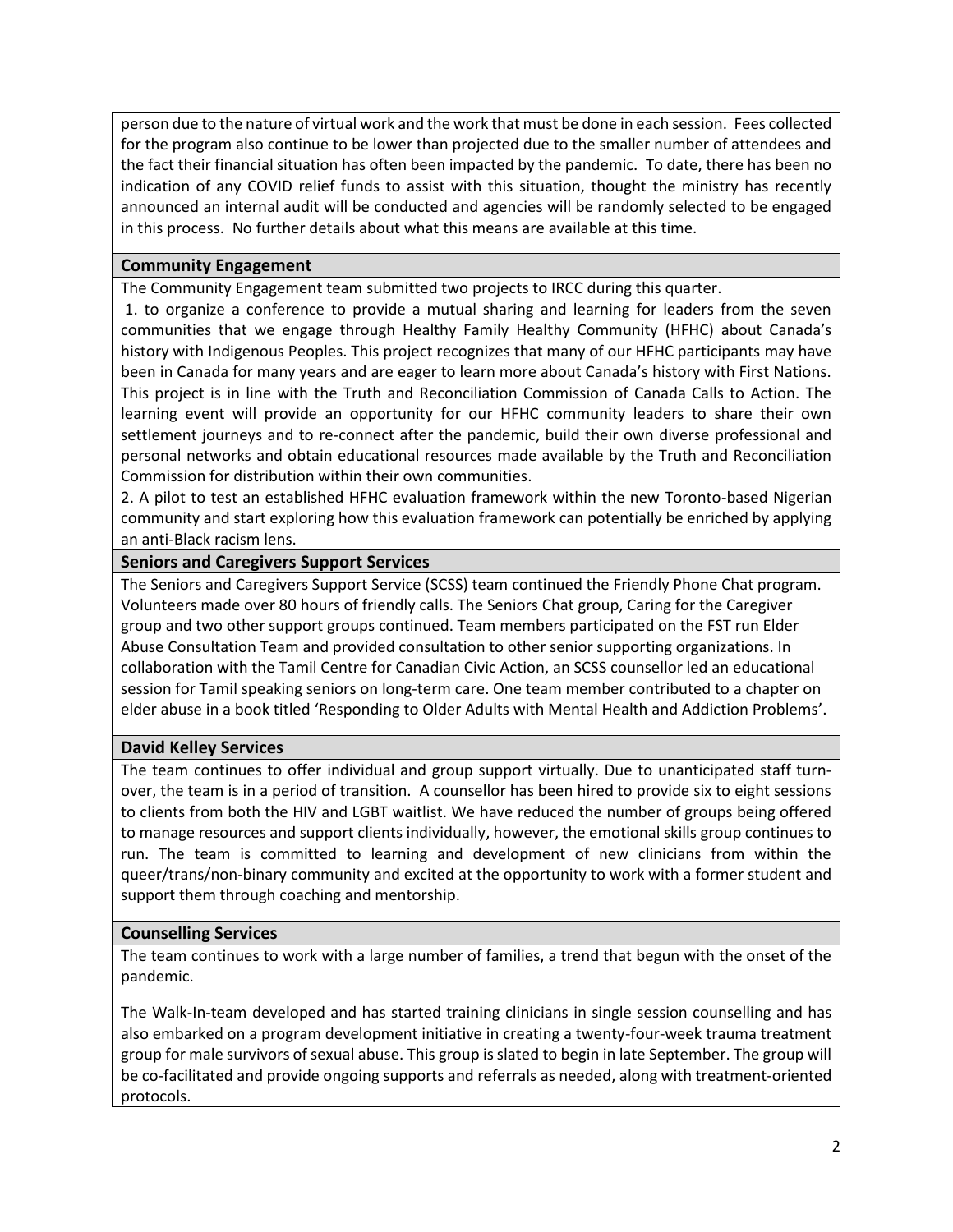person due to the nature of virtual work and the work that must be done in each session. Fees collected for the program also continue to be lower than projected due to the smaller number of attendees and the fact their financial situation has often been impacted by the pandemic. To date, there has been no indication of any COVID relief funds to assist with this situation, thought the ministry has recently announced an internal audit will be conducted and agencies will be randomly selected to be engaged in this process. No further details about what this means are available at this time.

# **Community Engagement**

The Community Engagement team submitted two projects to IRCC during this quarter.

1. to organize a conference to provide a mutual sharing and learning for leaders from the seven communities that we engage through Healthy Family Healthy Community (HFHC) about Canada's history with Indigenous Peoples. This project recognizes that many of our HFHC participants may have been in Canada for many years and are eager to learn more about Canada's history with First Nations. This project is in line with the Truth and Reconciliation Commission of Canada Calls to Action. The learning event will provide an opportunity for our HFHC community leaders to share their own settlement journeys and to re-connect after the pandemic, build their own diverse professional and personal networks and obtain educational resources made available by the Truth and Reconciliation Commission for distribution within their own communities.

2. A pilot to test an established HFHC evaluation framework within the new Toronto-based Nigerian community and start exploring how this evaluation framework can potentially be enriched by applying an anti-Black racism lens.

### **Seniors and Caregivers Support Services**

The Seniors and Caregivers Support Service (SCSS) team continued the Friendly Phone Chat program. Volunteers made over 80 hours of friendly calls. The Seniors Chat group, Caring for the Caregiver group and two other support groups continued. Team members participated on the FST run Elder Abuse Consultation Team and provided consultation to other senior supporting organizations. In collaboration with the Tamil Centre for Canadian Civic Action, an SCSS counsellor led an educational session for Tamil speaking seniors on long-term care. One team member contributed to a chapter on elder abuse in a book titled 'Responding to Older Adults with Mental Health and Addiction Problems'.

# **David Kelley Services**

The team continues to offer individual and group support virtually. Due to unanticipated staff turnover, the team is in a period of transition. A counsellor has been hired to provide six to eight sessions to clients from both the HIV and LGBT waitlist. We have reduced the number of groups being offered to manage resources and support clients individually, however, the emotional skills group continues to run. The team is committed to learning and development of new clinicians from within the queer/trans/non-binary community and excited at the opportunity to work with a former student and support them through coaching and mentorship.

#### **Counselling Services**

The team continues to work with a large number of families, a trend that begun with the onset of the pandemic.

The Walk-In-team developed and has started training clinicians in single session counselling and has also embarked on a program development initiative in creating a twenty-four-week trauma treatment group for male survivors of sexual abuse. This group is slated to begin in late September. The group will be co-facilitated and provide ongoing supports and referrals as needed, along with treatment-oriented protocols.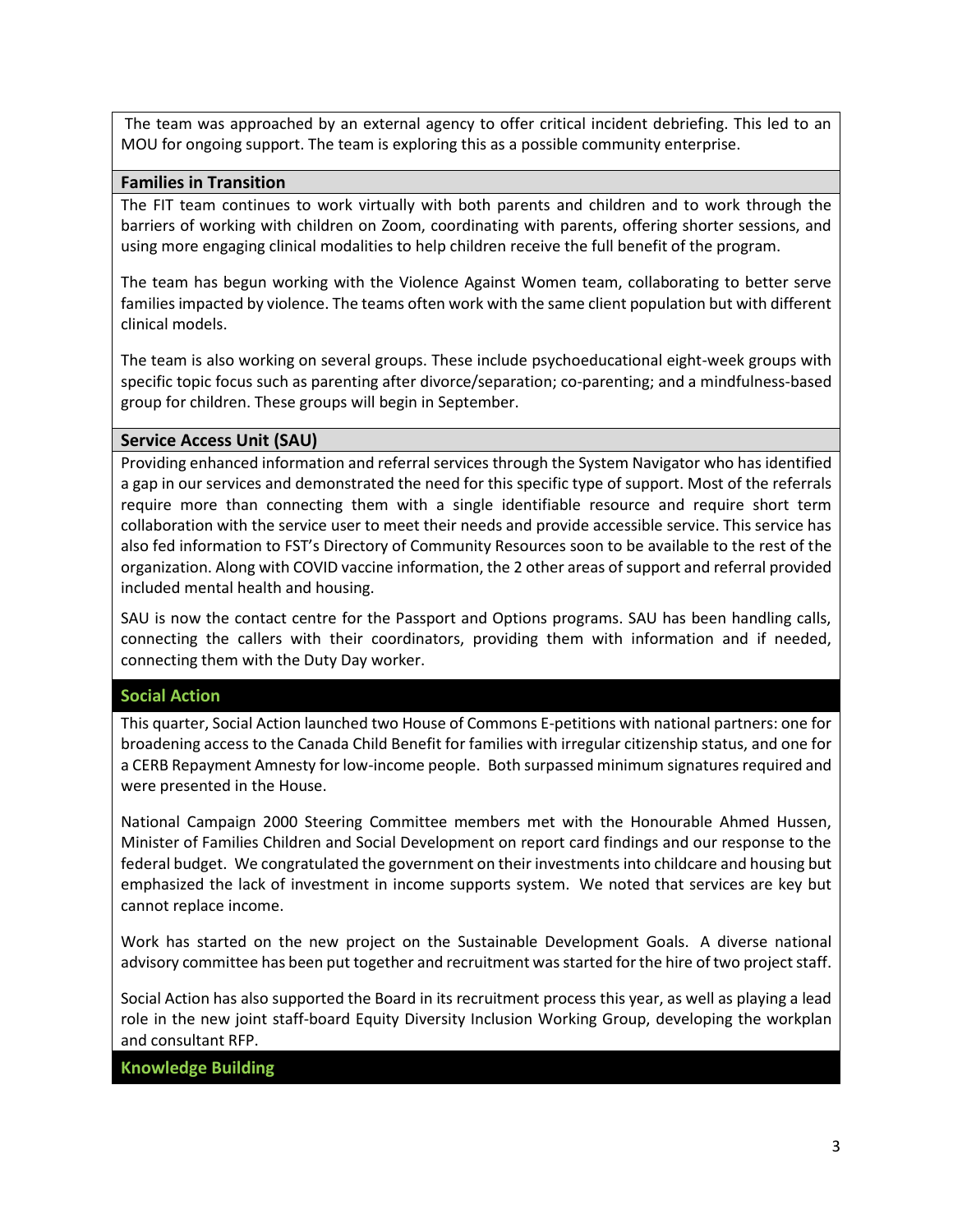The team was approached by an external agency to offer critical incident debriefing. This led to an MOU for ongoing support. The team is exploring this as a possible community enterprise.

#### **Families in Transition**

The FIT team continues to work virtually with both parents and children and to work through the barriers of working with children on Zoom, coordinating with parents, offering shorter sessions, and using more engaging clinical modalities to help children receive the full benefit of the program.

The team has begun working with the Violence Against Women team, collaborating to better serve families impacted by violence. The teams often work with the same client population but with different clinical models.

The team is also working on several groups. These include psychoeducational eight-week groups with specific topic focus such as parenting after divorce/separation; co-parenting; and a mindfulness-based group for children. These groups will begin in September.

#### **Service Access Unit (SAU)**

Providing enhanced information and referral services through the System Navigator who has identified a gap in our services and demonstrated the need for this specific type of support. Most of the referrals require more than connecting them with a single identifiable resource and require short term collaboration with the service user to meet their needs and provide accessible service. This service has also fed information to FST's Directory of Community Resources soon to be available to the rest of the organization. Along with COVID vaccine information, the 2 other areas of support and referral provided included mental health and housing.

SAU is now the contact centre for the Passport and Options programs. SAU has been handling calls, connecting the callers with their coordinators, providing them with information and if needed, connecting them with the Duty Day worker.

#### **Social Action**

This quarter, Social Action launched two House of Commons E-petitions with national partners: one for broadening access to the Canada Child Benefit for families with irregular citizenship status, and one for a CERB Repayment Amnesty for low-income people. Both surpassed minimum signatures required and were presented in the House.

National Campaign 2000 Steering Committee members met with the Honourable Ahmed Hussen, Minister of Families Children and Social Development on report card findings and our response to the federal budget. We congratulated the government on their investments into childcare and housing but emphasized the lack of investment in income supports system. We noted that services are key but cannot replace income.

Work has started on the new project on the Sustainable Development Goals. A diverse national advisory committee has been put together and recruitment was started for the hire of two project staff.

Social Action has also supported the Board in its recruitment process this year, as well as playing a lead role in the new joint staff-board Equity Diversity Inclusion Working Group, developing the workplan and consultant RFP.

**Knowledge Building**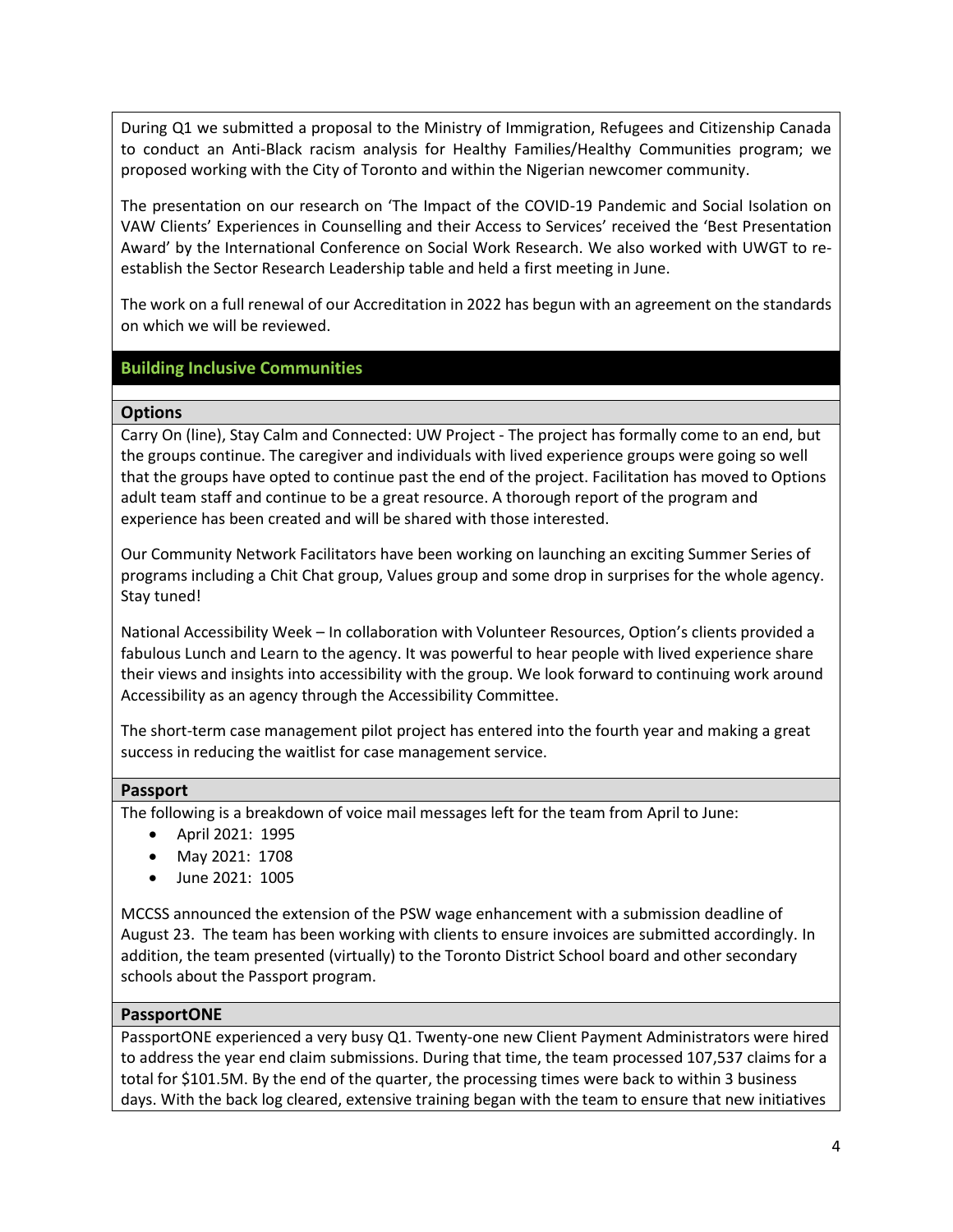During Q1 we submitted a proposal to the Ministry of Immigration, Refugees and Citizenship Canada to conduct an Anti-Black racism analysis for Healthy Families/Healthy Communities program; we proposed working with the City of Toronto and within the Nigerian newcomer community.

The presentation on our research on 'The Impact of the COVID-19 Pandemic and Social Isolation on VAW Clients' Experiences in Counselling and their Access to Services' received the 'Best Presentation Award' by the International Conference on Social Work Research. We also worked with UWGT to reestablish the Sector Research Leadership table and held a first meeting in June.

The work on a full renewal of our Accreditation in 2022 has begun with an agreement on the standards on which we will be reviewed.

#### **Building Inclusive Communities**

#### **Options**

Carry On (line), Stay Calm and Connected: UW Project - The project has formally come to an end, but the groups continue. The caregiver and individuals with lived experience groups were going so well that the groups have opted to continue past the end of the project. Facilitation has moved to Options adult team staff and continue to be a great resource. A thorough report of the program and experience has been created and will be shared with those interested.

Our Community Network Facilitators have been working on launching an exciting Summer Series of programs including a Chit Chat group, Values group and some drop in surprises for the whole agency. Stay tuned!

National Accessibility Week – In collaboration with Volunteer Resources, Option's clients provided a fabulous Lunch and Learn to the agency. It was powerful to hear people with lived experience share their views and insights into accessibility with the group. We look forward to continuing work around Accessibility as an agency through the Accessibility Committee.

The short-term case management pilot project has entered into the fourth year and making a great success in reducing the waitlist for case management service.

#### **Passport**

The following is a breakdown of voice mail messages left for the team from April to June:

- April 2021: 1995
- May 2021: 1708
- June 2021: 1005

MCCSS announced the extension of the PSW wage enhancement with a submission deadline of August 23. The team has been working with clients to ensure invoices are submitted accordingly. In addition, the team presented (virtually) to the Toronto District School board and other secondary schools about the Passport program.

#### **PassportONE**

PassportONE experienced a very busy Q1. Twenty-one new Client Payment Administrators were hired to address the year end claim submissions. During that time, the team processed 107,537 claims for a total for \$101.5M. By the end of the quarter, the processing times were back to within 3 business days. With the back log cleared, extensive training began with the team to ensure that new initiatives